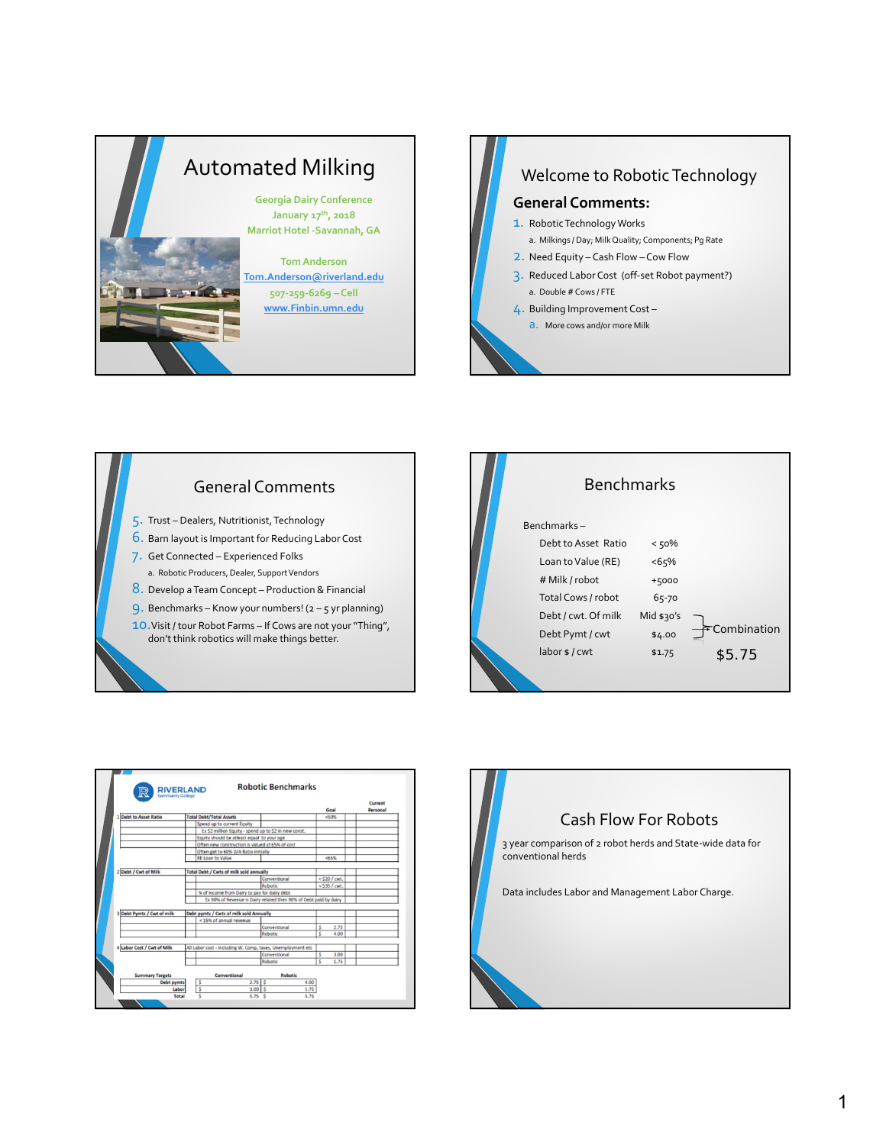



## General Comments

- 5. Trust Dealers, Nutritionist, Technology
- 6. Barn layout is Important for Reducing Labor Cost
- 7. Get Connected Experienced Folks
- a. Robotic Producers, Dealer, Support Vendors
- 8. Develop aTeam Concept Production & Financial
- 9. Benchmarks Know your numbers!  $(2 5)$  yr planning)
- 10. Visit / tour Robot Farms If Cows are not your "Thing", don't think robotics will make things better.





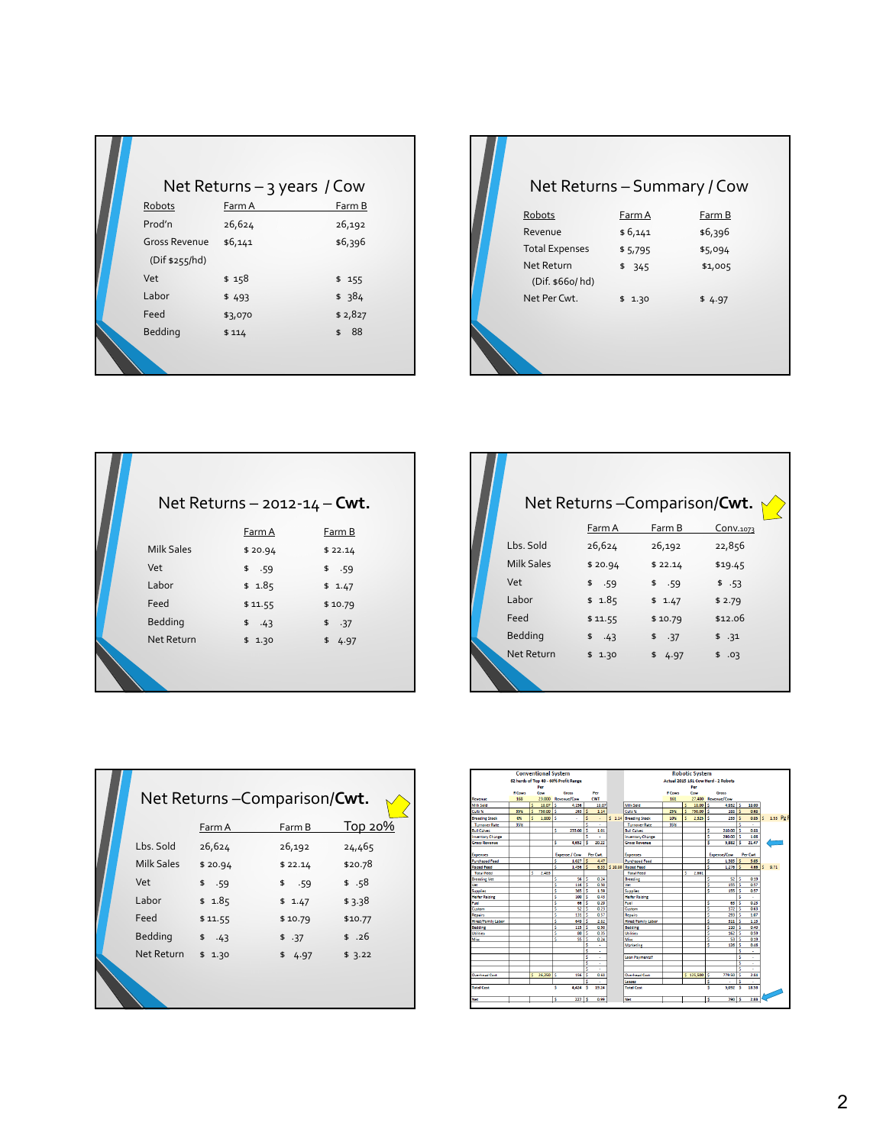|                                 | Net Returns – 3 years / Cow |          |
|---------------------------------|-----------------------------|----------|
| Robots                          | Farm A                      | Farm B   |
| Prod'n                          | 26,624                      | 26,192   |
| Gross Revenue<br>(Dif \$255/hd) | \$6,141                     | \$6,396  |
|                                 |                             |          |
| Vet                             | \$158                       | \$155    |
| Labor                           | \$493                       | \$384    |
| Feed                            | \$3,070                     | \$2,827  |
| <b>Bedding</b>                  | \$114                       | 88<br>\$ |
|                                 |                             |          |

|                               |         | Net Returns - Summary / Cow |  |
|-------------------------------|---------|-----------------------------|--|
| Robots                        | Farm A  | Farm B                      |  |
| Revenue                       | \$6,141 | \$6,396                     |  |
| <b>Total Expenses</b>         | \$5,795 | \$5,094                     |  |
| Net Return<br>(Dif. \$660/hd) | \$345   | \$1,005                     |  |
| Net Per Cwt.                  | \$1.30  | \$4.97                      |  |
|                               |         |                             |  |

|                   | Net Returns – 2012-14 – <b>Cwt.</b> |         |
|-------------------|-------------------------------------|---------|
|                   | Farm A                              | Farm B  |
| <b>Milk Sales</b> | \$20.94                             | \$22.14 |
| Vet               | \$.59                               | \$.59   |
| Labor             | \$1.85                              | \$1.47  |
| Feed              | \$11.55                             | \$10.79 |
| Bedding           | $$-.43$                             | \$.37   |
| Net Return        | \$1.30                              | \$4.97  |
|                   |                                     |         |

|                   |         | Net Returns - Comparison/Cwt. |           |  |
|-------------------|---------|-------------------------------|-----------|--|
|                   | Farm A  | Farm B                        | Conv.1073 |  |
| Lbs. Sold         | 26,624  | 26,192                        | 22,856    |  |
| <b>Milk Sales</b> | \$20.94 | \$22.14                       | \$19.45   |  |
| Vet               | \$.59   | \$.59                         | \$.53     |  |
| Labor             | \$1.85  | \$1.47                        | \$2.79    |  |
| Feed              | \$11.55 | \$10.79                       | \$12.06   |  |
| Bedding           | $$-.43$ | \$.37                         | \$.31     |  |
| Net Return        | \$1.30  | \$4.97                        | \$.03     |  |
|                   |         |                               |           |  |

| Net Returns-Comparison/Cwt. |         |         |                 |
|-----------------------------|---------|---------|-----------------|
|                             | Farm A  | Farm B  | <u> Тор 20%</u> |
| Lbs. Sold                   | 26,624  | 26,192  | 24,465          |
| <b>Milk Sales</b>           | \$20.94 | \$22.14 | \$20.78         |
| Vet                         | \$.59   | \$.59   | \$.58           |
| Labor                       | \$1.85  | \$1.47  | \$3.38          |
| Feed                        | \$11.55 | \$10.79 | \$10.77         |
| <b>Bedding</b>              | \$.43   | \$.37   | \$.26           |
| Net Return                  | \$1.30  | \$4.97  | \$3.22          |
|                             |         |         |                 |

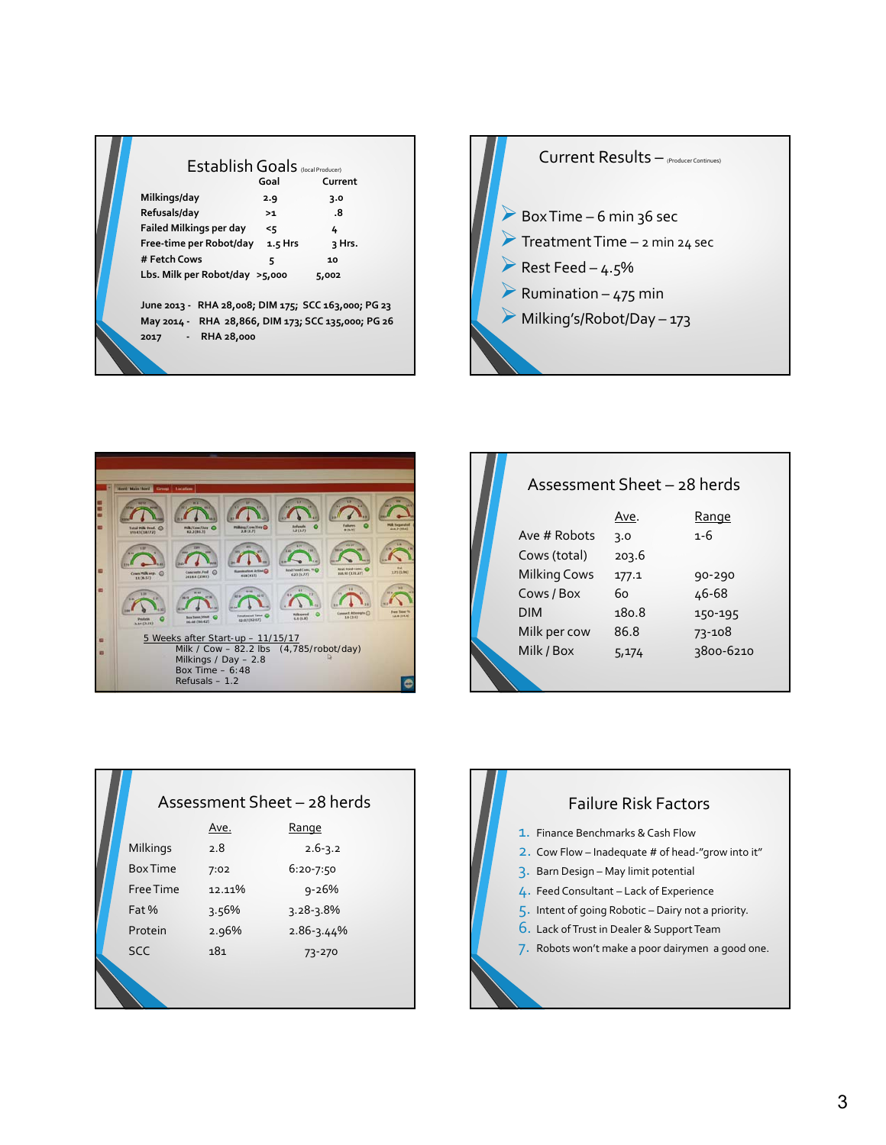| Establish Goals (local Producer)<br>Milkings/day<br>Refusals/day<br>Failed Milkings per day<br>Free-time per Robot/day 1.5 Hrs<br># Fetch Cows<br>Lbs. Milk per Robot/day $>5,000$<br>June 2013 - RHA 28,008; DIM 175; SCC 163,000; PG 23<br>May 2014 - RHA 28,866, DIM 173; SCC 135,000; PG 26<br>2017 - RHA 28,000 | Goal<br>2.9<br>>1<br>55<br>5 | Current<br>3.0<br>.8<br>4<br>२ Hrs.<br>10<br>5,002 |  |
|----------------------------------------------------------------------------------------------------------------------------------------------------------------------------------------------------------------------------------------------------------------------------------------------------------------------|------------------------------|----------------------------------------------------|--|
|                                                                                                                                                                                                                                                                                                                      |                              |                                                    |  |





|                     | Assessment Sheet - 28 herds |           |
|---------------------|-----------------------------|-----------|
|                     | Ave.                        | Range     |
| Ave # Robots        | 3.0                         | $1 - 6$   |
| Cows (total)        | 203.6                       |           |
| <b>Milking Cows</b> | 177.1                       | 90-290    |
| Cows / Box          | 60                          | 46-68     |
| <b>DIM</b>          | 180.8                       | 150-195   |
| Milk per cow        | 86.8                        | 73-108    |
| Milk / Box          | 5,174                       | 3800-6210 |

|                 |        | Assessment Sheet - 28 herds |  |
|-----------------|--------|-----------------------------|--|
|                 | Ave.   | Range                       |  |
| Milkings        | 2.8    | $2.6 - 3.2$                 |  |
| <b>Box Time</b> | 7:02   | $6:20 - 7:50$               |  |
| Free Time       | 12.11% | $9 - 26%$                   |  |
| Fat %           | 3.56%  | $3.28 - 3.8%$               |  |
| Protein         | 2.96%  | $2.86 - 3.44%$              |  |
| <b>SCC</b>      | 181    | 73-270                      |  |
|                 |        |                             |  |